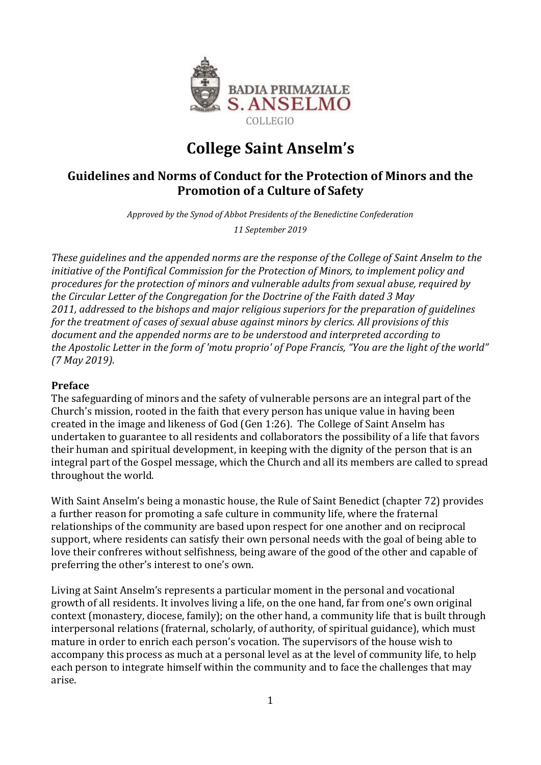

# **College Saint Anselm's**

# **Guidelines and Norms of Conduct for the Protection of Minors and the Promotion of a Culture of Safety**

*Approved by the Synod of Abbot Presidents of the Benedictine Confederation* 

*11 September 2019*

*These guidelines and the appended norms are the response of the College of Saint Anselm to the initiative of the Pontifical Commission for the Protection of Minors, to implement policy and procedures for the protection of minors and vulnerable adults from sexual abuse, required by the Circular Letter of the Congregation for the Doctrine of the Faith dated 3 May 2011, addressed to the bishops and major religious superiors for the preparation of guidelines for the treatment of cases of sexual abuse against minors by clerics. All provisions of this document and the appended norms are to be understood and interpreted according to the Apostolic Letter in the form of 'motu proprio' of Pope Francis, "You are the light of the world" (7 May 2019).*

#### **Preface**

The safeguarding of minors and the safety of vulnerable persons are an integral part of the Church's mission, rooted in the faith that every person has unique value in having been created in the image and likeness of God (Gen 1:26). The College of Saint Anselm has undertaken to guarantee to all residents and collaborators the possibility of a life that favors their human and spiritual development, in keeping with the dignity of the person that is an integral part of the Gospel message, which the Church and all its members are called to spread throughout the world.

With Saint Anselm's being a monastic house, the Rule of Saint Benedict (chapter 72) provides a further reason for promoting a safe culture in community life, where the fraternal relationships of the community are based upon respect for one another and on reciprocal support, where residents can satisfy their own personal needs with the goal of being able to love their confreres without selfishness, being aware of the good of the other and capable of preferring the other's interest to one's own.

Living at Saint Anselm's represents a particular moment in the personal and vocational growth of all residents. It involves living a life, on the one hand, far from one's own original context (monastery, diocese, family); on the other hand, a community life that is built through interpersonal relations (fraternal, scholarly, of authority, of spiritual guidance), which must mature in order to enrich each person's vocation. The supervisors of the house wish to accompany this process as much at a personal level as at the level of community life, to help each person to integrate himself within the community and to face the challenges that may arise.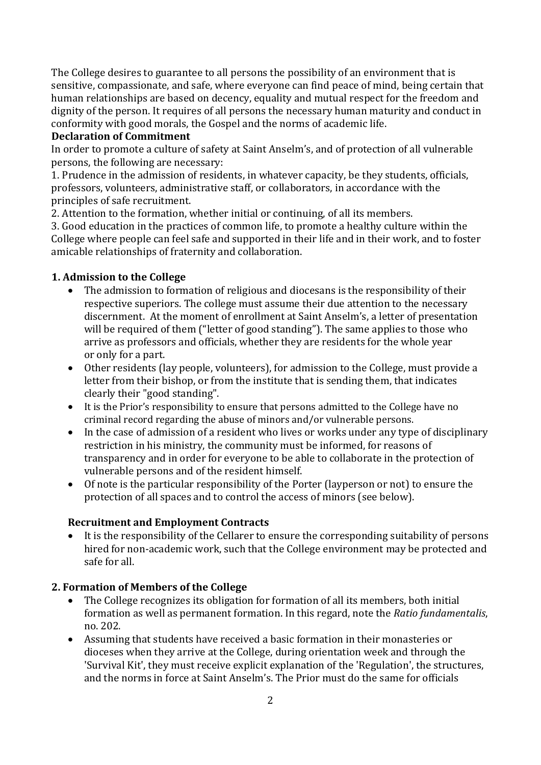The College desires to guarantee to all persons the possibility of an environment that is sensitive, compassionate, and safe, where everyone can find peace of mind, being certain that human relationships are based on decency, equality and mutual respect for the freedom and dignity of the person. It requires of all persons the necessary human maturity and conduct in conformity with good morals, the Gospel and the norms of academic life.

#### **Declaration of Commitment**

In order to promote a culture of safety at Saint Anselm's, and of protection of all vulnerable persons, the following are necessary:

1. Prudence in the admission of residents, in whatever capacity, be they students, officials, professors, volunteers, administrative staff, or collaborators, in accordance with the principles of safe recruitment.

2. Attention to the formation, whether initial or continuing, of all its members.

3. Good education in the practices of common life, to promote a healthy culture within the College where people can feel safe and supported in their life and in their work, and to foster amicable relationships of fraternity and collaboration.

## **1. Admission to the College**

- The admission to formation of religious and diocesans is the responsibility of their respective superiors. The college must assume their due attention to the necessary discernment. At the moment of enrollment at Saint Anselm's, a letter of presentation will be required of them ("letter of good standing"). The same applies to those who arrive as professors and officials, whether they are residents for the whole year or only for a part.
- Other residents (lay people, volunteers), for admission to the College, must provide a letter from their bishop, or from the institute that is sending them, that indicates clearly their "good standing".
- It is the Prior's responsibility to ensure that persons admitted to the College have no criminal record regarding the abuse of minors and/or vulnerable persons.
- In the case of admission of a resident who lives or works under any type of disciplinary restriction in his ministry, the community must be informed, for reasons of transparency and in order for everyone to be able to collaborate in the protection of vulnerable persons and of the resident himself.
- Of note is the particular responsibility of the Porter (layperson or not) to ensure the protection of all spaces and to control the access of minors (see below).

#### **Recruitment and Employment Contracts**

 It is the responsibility of the Cellarer to ensure the corresponding suitability of persons hired for non-academic work, such that the College environment may be protected and safe for all.

#### **2. Formation of Members of the College**

- The College recognizes its obligation for formation of all its members, both initial formation as well as permanent formation. In this regard, note the *Ratio fundamentalis*, no. 202.
- Assuming that students have received a basic formation in their monasteries or dioceses when they arrive at the College, during orientation week and through the 'Survival Kit', they must receive explicit explanation of the 'Regulation', the structures, and the norms in force at Saint Anselm's. The Prior must do the same for officials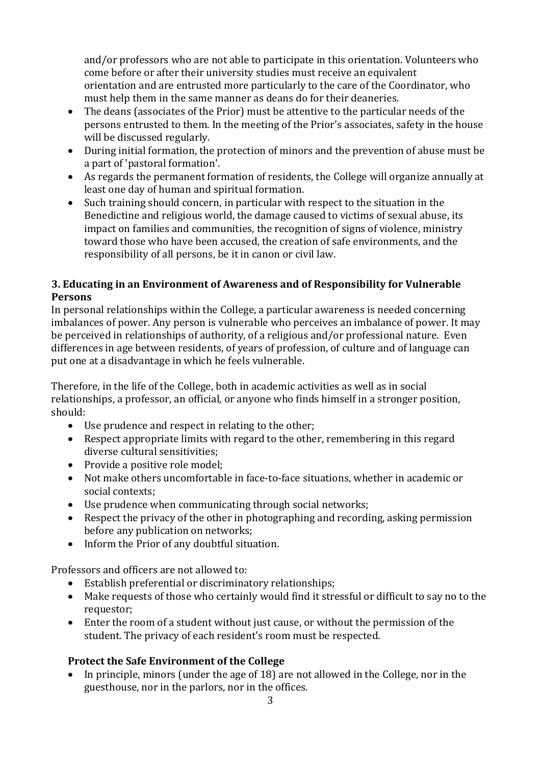and/or professors who are not able to participate in this orientation. Volunteers who come before or after their university studies must receive an equivalent orientation and are entrusted more particularly to the care of the Coordinator, who must help them in the same manner as deans do for their deaneries.

- The deans (associates of the Prior) must be attentive to the particular needs of the persons entrusted to them. In the meeting of the Prior's associates, safety in the house will be discussed regularly.
- During initial formation, the protection of minors and the prevention of abuse must be a part of 'pastoral formation'.
- As regards the permanent formation of residents, the College will organize annually at least one day of human and spiritual formation.
- Such training should concern, in particular with respect to the situation in the Benedictine and religious world, the damage caused to victims of sexual abuse, its impact on families and communities, the recognition of signs of violence, ministry toward those who have been accused, the creation of safe environments, and the responsibility of all persons, be it in canon or civil law.

# **3. Educating in an Environment of Awareness and of Responsibility for Vulnerable Persons**

In personal relationships within the College, a particular awareness is needed concerning imbalances of power. Any person is vulnerable who perceives an imbalance of power. It may be perceived in relationships of authority, of a religious and/or professional nature. Even differences in age between residents, of years of profession, of culture and of language can put one at a disadvantage in which he feels vulnerable.

Therefore, in the life of the College, both in academic activities as well as in social relationships, a professor, an official, or anyone who finds himself in a stronger position, should:

- Use prudence and respect in relating to the other;
- Respect appropriate limits with regard to the other, remembering in this regard diverse cultural sensitivities;
- Provide a positive role model;
- Not make others uncomfortable in face-to-face situations, whether in academic or social contexts;
- Use prudence when communicating through social networks;
- Respect the privacy of the other in photographing and recording, asking permission before any publication on networks;
- Inform the Prior of any doubtful situation.

Professors and officers are not allowed to:

- Establish preferential or discriminatory relationships;
- Make requests of those who certainly would find it stressful or difficult to say no to the requestor;
- Enter the room of a student without just cause, or without the permission of the student. The privacy of each resident's room must be respected.

# **Protect the Safe Environment of the College**

 In principle, minors (under the age of 18) are not allowed in the College, nor in the guesthouse, nor in the parlors, nor in the offices.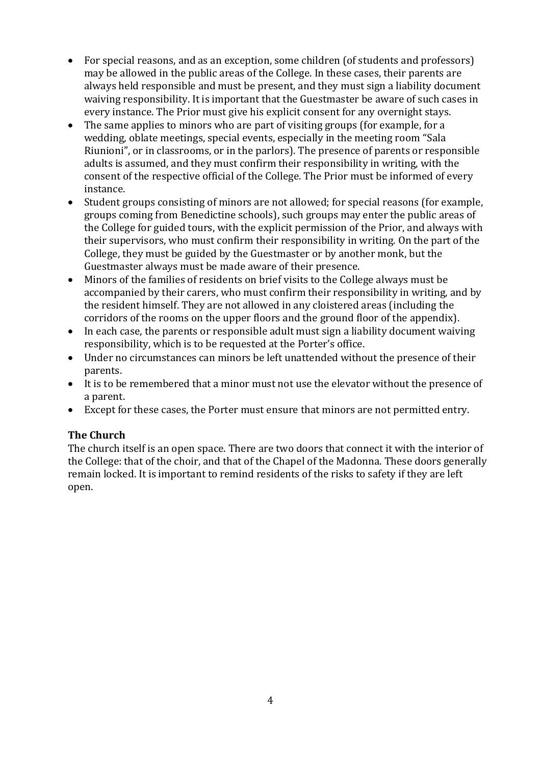- For special reasons, and as an exception, some children (of students and professors) may be allowed in the public areas of the College. In these cases, their parents are always held responsible and must be present, and they must sign a liability document waiving responsibility. It is important that the Guestmaster be aware of such cases in every instance. The Prior must give his explicit consent for any overnight stays.
- The same applies to minors who are part of visiting groups (for example, for a wedding, oblate meetings, special events, especially in the meeting room "Sala Riunioni", or in classrooms, or in the parlors). The presence of parents or responsible adults is assumed, and they must confirm their responsibility in writing, with the consent of the respective official of the College. The Prior must be informed of every instance.
- Student groups consisting of minors are not allowed; for special reasons (for example, groups coming from Benedictine schools), such groups may enter the public areas of the College for guided tours, with the explicit permission of the Prior, and always with their supervisors, who must confirm their responsibility in writing. On the part of the College, they must be guided by the Guestmaster or by another monk, but the Guestmaster always must be made aware of their presence.
- Minors of the families of residents on brief visits to the College always must be accompanied by their carers, who must confirm their responsibility in writing, and by the resident himself. They are not allowed in any cloistered areas (including the corridors of the rooms on the upper floors and the ground floor of the appendix).
- In each case, the parents or responsible adult must sign a liability document waiving responsibility, which is to be requested at the Porter's office.
- Under no circumstances can minors be left unattended without the presence of their parents.
- It is to be remembered that a minor must not use the elevator without the presence of a parent.
- Except for these cases, the Porter must ensure that minors are not permitted entry.

#### **The Church**

The church itself is an open space. There are two doors that connect it with the interior of the College: that of the choir, and that of the Chapel of the Madonna. These doors generally remain locked. It is important to remind residents of the risks to safety if they are left open.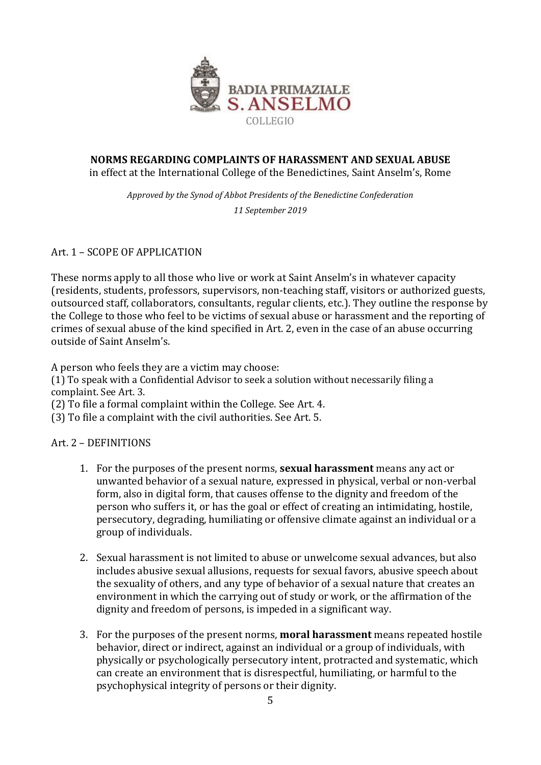

#### **NORMS REGARDING COMPLAINTS OF HARASSMENT AND SEXUAL ABUSE** in effect at the International College of the Benedictines, Saint Anselm's, Rome

*Approved by the Synod of Abbot Presidents of the Benedictine Confederation 11 September 2019*

Art. 1 – SCOPE OF APPLICATION

These norms apply to all those who live or work at Saint Anselm's in whatever capacity (residents, students, professors, supervisors, non-teaching staff, visitors or authorized guests, outsourced staff, collaborators, consultants, regular clients, etc.). They outline the response by the College to those who feel to be victims of sexual abuse or harassment and the reporting of crimes of sexual abuse of the kind specified in Art. 2, even in the case of an abuse occurring outside of Saint Anselm's.

A person who feels they are a victim may choose:

(1) To speak with a Confidential Advisor to seek a solution without necessarily filing a complaint. See Art. 3.

(2) To file a formal complaint within the College. See Art. 4.

(3) To file a complaint with the civil authorities. See Art. 5.

Art. 2 – DEFINITIONS

- 1. For the purposes of the present norms, **sexual harassment** means any act or unwanted behavior of a sexual nature, expressed in physical, verbal or non-verbal form, also in digital form, that causes offense to the dignity and freedom of the person who suffers it, or has the goal or effect of creating an intimidating, hostile, persecutory, degrading, humiliating or offensive climate against an individual or a group of individuals.
- 2. Sexual harassment is not limited to abuse or unwelcome sexual advances, but also includes abusive sexual allusions, requests for sexual favors, abusive speech about the sexuality of others, and any type of behavior of a sexual nature that creates an environment in which the carrying out of study or work, or the affirmation of the dignity and freedom of persons, is impeded in a significant way.
- 3. For the purposes of the present norms, **moral harassment** means repeated hostile behavior, direct or indirect, against an individual or a group of individuals, with physically or psychologically persecutory intent, protracted and systematic, which can create an environment that is disrespectful, humiliating, or harmful to the psychophysical integrity of persons or their dignity.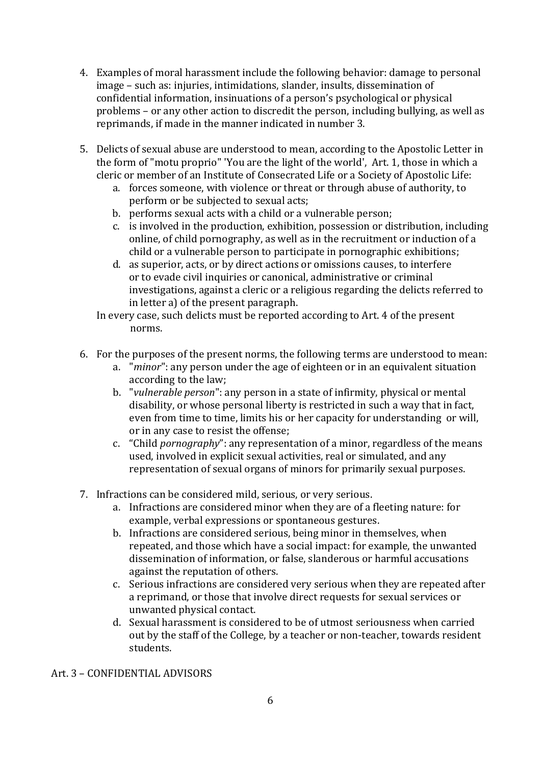- 4. Examples of moral harassment include the following behavior: damage to personal image – such as: injuries, intimidations, slander, insults, dissemination of confidential information, insinuations of a person's psychological or physical problems – or any other action to discredit the person, including bullying, as well as reprimands, if made in the manner indicated in number 3.
- 5. Delicts of sexual abuse are understood to mean, according to the Apostolic Letter in the form of "motu proprio" 'You are the light of the world', Art. 1, those in which a cleric or member of an Institute of Consecrated Life or a Society of Apostolic Life:
	- a. forces someone, with violence or threat or through abuse of authority, to perform or be subjected to sexual acts;
	- b. performs sexual acts with a child or a vulnerable person;
	- c. is involved in the production, exhibition, possession or distribution, including online, of child pornography, as well as in the recruitment or induction of a child or a vulnerable person to participate in pornographic exhibitions;
	- d. as superior, acts, or by direct actions or omissions causes, to interfere or to evade civil inquiries or canonical, administrative or criminal investigations, against a cleric or a religious regarding the delicts referred to in letter a) of the present paragraph.
	- In every case, such delicts must be reported according to Art. 4 of the present norms.
- 6. For the purposes of the present norms, the following terms are understood to mean:
	- a. "*minor*": any person under the age of eighteen or in an equivalent situation according to the law;
	- b. "*vulnerable person*": any person in a state of infirmity, physical or mental disability, or whose personal liberty is restricted in such a way that in fact, even from time to time, limits his or her capacity for understanding or will, or in any case to resist the offense;
	- c. "Child *pornography*": any representation of a minor, regardless of the means used, involved in explicit sexual activities, real or simulated, and any representation of sexual organs of minors for primarily sexual purposes.
- 7. Infractions can be considered mild, serious, or very serious.
	- a. Infractions are considered minor when they are of a fleeting nature: for example, verbal expressions or spontaneous gestures.
	- b. Infractions are considered serious, being minor in themselves, when repeated, and those which have a social impact: for example, the unwanted dissemination of information, or false, slanderous or harmful accusations against the reputation of others.
	- c. Serious infractions are considered very serious when they are repeated after a reprimand, or those that involve direct requests for sexual services or unwanted physical contact.
	- d. Sexual harassment is considered to be of utmost seriousness when carried out by the staff of the College, by a teacher or non-teacher, towards resident students.

Art. 3 – CONFIDENTIAL ADVISORS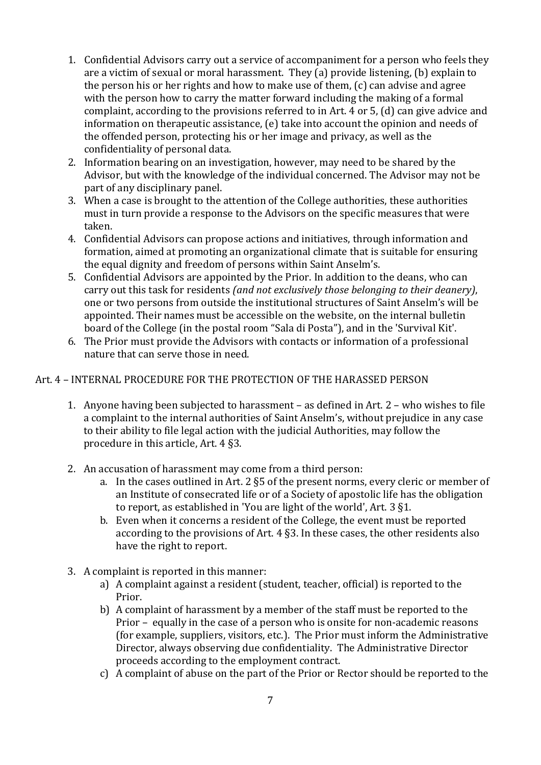- 1. Confidential Advisors carry out a service of accompaniment for a person who feels they are a victim of sexual or moral harassment. They (a) provide listening, (b) explain to the person his or her rights and how to make use of them, (c) can advise and agree with the person how to carry the matter forward including the making of a formal complaint, according to the provisions referred to in Art. 4 or 5, (d) can give advice and information on therapeutic assistance, (e) take into account the opinion and needs of the offended person, protecting his or her image and privacy, as well as the confidentiality of personal data.
- 2. Information bearing on an investigation, however, may need to be shared by the Advisor, but with the knowledge of the individual concerned. The Advisor may not be part of any disciplinary panel.
- 3. When a case is brought to the attention of the College authorities, these authorities must in turn provide a response to the Advisors on the specific measures that were taken.
- 4. Confidential Advisors can propose actions and initiatives, through information and formation, aimed at promoting an organizational climate that is suitable for ensuring the equal dignity and freedom of persons within Saint Anselm's.
- 5. Confidential Advisors are appointed by the Prior. In addition to the deans, who can carry out this task for residents *(and not exclusively those belonging to their deanery)*, one or two persons from outside the institutional structures of Saint Anselm's will be appointed. Their names must be accessible on the website, on the internal bulletin board of the College (in the postal room "Sala di Posta"), and in the 'Survival Kit'.
- 6. The Prior must provide the Advisors with contacts or information of a professional nature that can serve those in need.

#### Art. 4 – INTERNAL PROCEDURE FOR THE PROTECTION OF THE HARASSED PERSON

- 1. Anyone having been subjected to harassment as defined in Art. 2 who wishes to file a complaint to the internal authorities of Saint Anselm's, without prejudice in any case to their ability to file legal action with the judicial Authorities, may follow the procedure in this article, Art. 4 §3.
- 2. An accusation of harassment may come from a third person:
	- a. In the cases outlined in Art. 2 §5 of the present norms, every cleric or member of an Institute of consecrated life or of a Society of apostolic life has the obligation to report, as established in 'You are light of the world', Art. 3 §1.
	- b. Even when it concerns a resident of the College, the event must be reported according to the provisions of Art. 4 §3. In these cases, the other residents also have the right to report.
- 3. A complaint is reported in this manner:
	- a) A complaint against a resident (student, teacher, official) is reported to the Prior.
	- b) A complaint of harassment by a member of the staff must be reported to the Prior – equally in the case of a person who is onsite for non-academic reasons (for example, suppliers, visitors, etc.). The Prior must inform the Administrative Director, always observing due confidentiality. The Administrative Director proceeds according to the employment contract.
	- c) A complaint of abuse on the part of the Prior or Rector should be reported to the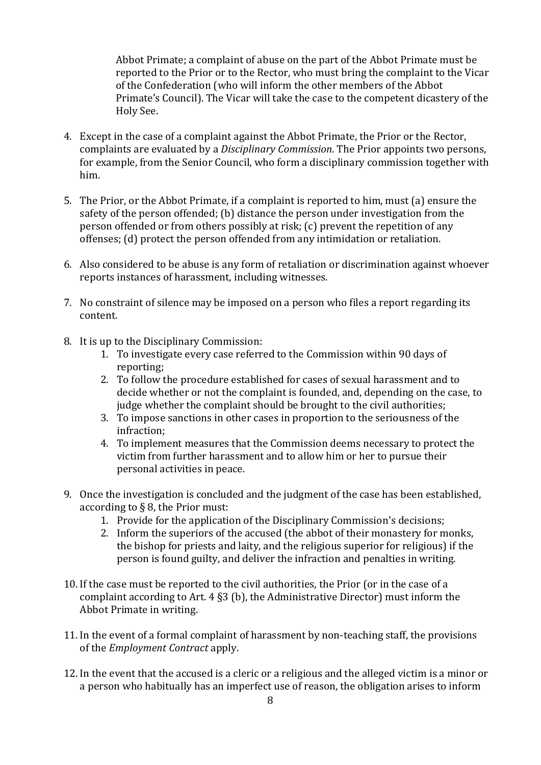Abbot Primate; a complaint of abuse on the part of the Abbot Primate must be reported to the Prior or to the Rector, who must bring the complaint to the Vicar of the Confederation (who will inform the other members of the Abbot Primate's Council). The Vicar will take the case to the competent dicastery of the Holy See.

- 4. Except in the case of a complaint against the Abbot Primate, the Prior or the Rector, complaints are evaluated by a *Disciplinary Commission*. The Prior appoints two persons, for example, from the Senior Council, who form a disciplinary commission together with him.
- 5. The Prior, or the Abbot Primate, if a complaint is reported to him, must (a) ensure the safety of the person offended; (b) distance the person under investigation from the person offended or from others possibly at risk; (c) prevent the repetition of any offenses; (d) protect the person offended from any intimidation or retaliation.
- 6. Also considered to be abuse is any form of retaliation or discrimination against whoever reports instances of harassment, including witnesses.
- 7. No constraint of silence may be imposed on a person who files a report regarding its content.
- 8. It is up to the Disciplinary Commission:
	- 1. To investigate every case referred to the Commission within 90 days of reporting;
	- 2. To follow the procedure established for cases of sexual harassment and to decide whether or not the complaint is founded, and, depending on the case, to judge whether the complaint should be brought to the civil authorities;
	- 3. To impose sanctions in other cases in proportion to the seriousness of the infraction;
	- 4. To implement measures that the Commission deems necessary to protect the victim from further harassment and to allow him or her to pursue their personal activities in peace.
- 9. Once the investigation is concluded and the judgment of the case has been established, according to § 8, the Prior must:
	- 1. Provide for the application of the Disciplinary Commission's decisions;
	- 2. Inform the superiors of the accused (the abbot of their monastery for monks, the bishop for priests and laity, and the religious superior for religious) if the person is found guilty, and deliver the infraction and penalties in writing.
- 10. If the case must be reported to the civil authorities, the Prior (or in the case of a complaint according to Art. 4 §3 (b), the Administrative Director) must inform the Abbot Primate in writing.
- 11. In the event of a formal complaint of harassment by non-teaching staff, the provisions of the *Employment Contract* apply.
- 12. In the event that the accused is a cleric or a religious and the alleged victim is a minor or a person who habitually has an imperfect use of reason, the obligation arises to inform